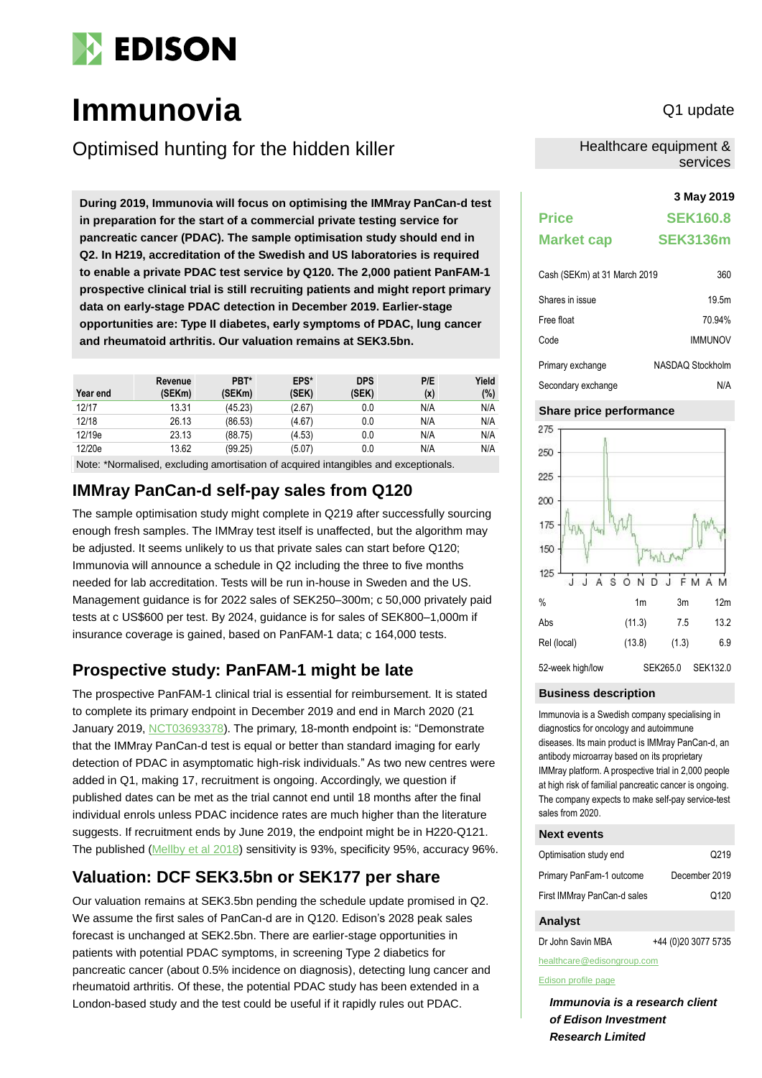

# **Immunovia** Q1 update

Optimised hunting for the hidden killer

**3 May 2019 During 2019, Immunovia will focus on optimising the IMMray PanCan-d test in preparation for the start of a commercial private testing service for pancreatic cancer (PDAC). The sample optimisation study should end in Q2. In H219, accreditation of the Swedish and US laboratories is required to enable a private PDAC test service by Q120. The 2,000 patient PanFAM-1 prospective clinical trial is still recruiting patients and might report primary data on early-stage PDAC detection in December 2019. Earlier-stage opportunities are: Type II diabetes, early symptoms of PDAC, lung cancer and rheumatoid arthritis. Our valuation remains at SEK3.5bn.**

| Year end | Revenue<br>(SEKm) | PBT*<br>(SEKm) | EPS*<br>(SEK) | <b>DPS</b><br>(SEK) | P/E<br>(x) | Yield<br>(%) |
|----------|-------------------|----------------|---------------|---------------------|------------|--------------|
| 12/17    | 13.31             | (45.23)        | (2.67)        | 0.0                 | N/A        | N/A          |
| 12/18    | 26.13             | (86.53)        | (4.67)        | 0.0                 | N/A        | N/A          |
| 12/19e   | 23.13             | (88.75)        | (4.53)        | 0.0                 | N/A        | N/A          |
| 12/20e   | 13.62             | (99.25)        | (5.07)        | 0.0                 | N/A        | N/A          |

Note: \*Normalised, excluding amortisation of acquired intangibles and exceptionals.

## **IMMray PanCan-d self-pay sales from Q120**

The sample optimisation study might complete in Q219 after successfully sourcing enough fresh samples. The IMMray test itself is unaffected, but the algorithm may be adjusted. It seems unlikely to us that private sales can start before Q120; Immunovia will announce a schedule in Q2 including the three to five months needed for lab accreditation. Tests will be run in-house in Sweden and the US. Management guidance is for 2022 sales of SEK250–300m; c 50,000 privately paid tests at c US\$600 per test. By 2024, guidance is for sales of SEK800–1,000m if insurance coverage is gained, based on PanFAM-1 data; c 164,000 tests.

## **Prospective study: PanFAM-1 might be late**

The prospective PanFAM-1 clinical trial is essential for reimbursement. It is stated to complete its primary endpoint in December 2019 and end in March 2020 (21 January 2019, [NCT03693378\)](https://clinicaltrials.gov/ct2/show/NCT03693378). The primary, 18-month endpoint is: "Demonstrate that the IMMray PanCan-d test is equal or better than standard imaging for early detection of PDAC in asymptomatic high-risk individuals." As two new centres were added in Q1, making 17, recruitment is ongoing. Accordingly, we question if published dates can be met as the trial cannot end until 18 months after the final individual enrols unless PDAC incidence rates are much higher than the literature suggests. If recruitment ends by June 2019, the endpoint might be in H220-Q121. The published [\(Mellby et al 2018\)](https://www.ncbi.nlm.nih.gov/pubmed/?term=Serum+biomarker+signature-based+liquid+biopsy+for+diagnosis+of+early-stage+pancreatic+cancer) sensitivity is 93%, specificity 95%, accuracy 96%.

# **Valuation: DCF SEK3.5bn or SEK177 per share**

Our valuation remains at SEK3.5bn pending the schedule update promised in Q2. We assume the first sales of PanCan-d are in Q120. Edison's 2028 peak sales forecast is unchanged at SEK2.5bn. There are earlier-stage opportunities in patients with potential PDAC symptoms, in screening Type 2 diabetics for pancreatic cancer (about 0.5% incidence on diagnosis), detecting lung cancer and rheumatoid arthritis. Of these, the potential PDAC study has been extended in a London-based study and the test could be useful if it rapidly rules out PDAC.

Healthcare equipment & services

| <b>Price</b>                 | <b>SEK160.8</b>  |
|------------------------------|------------------|
| <b>Market cap</b>            | <b>SEK3136m</b>  |
| Cash (SEKm) at 31 March 2019 | 360              |
| Shares in issue              | 19.5m            |
| Free float                   | 70.94%           |
| Code                         | <b>IMMUNOV</b>   |
| Primary exchange             | NASDAQ Stockholm |

# Secondary exchange N/A



#### **Business description**

Immunovia is a Swedish company specialising in diagnostics for oncology and autoimmune diseases. Its main product is IMMray PanCan-d, an antibody microarray based on its proprietary IMMray platform. A prospective trial in 2,000 people at high risk of familial pancreatic cancer is ongoing. The company expects to make self-pay service-test sales from 2020.

#### **Next events**

| Optimisation study end      | Q <sub>2</sub> 19 |
|-----------------------------|-------------------|
| Primary PanFam-1 outcome    | December 2019     |
| First IMMray PanCan-d sales | Q <sub>120</sub>  |

#### **Analyst**

Dr John Savin MBA +44 (0)20 3077 5735 healthcare@edisongroup.com

#### [Edison profile page](https://www.edisoninvestmentresearch.com/research/company/immunovia)

*Immunovia is a research client of Edison Investment Research Limited*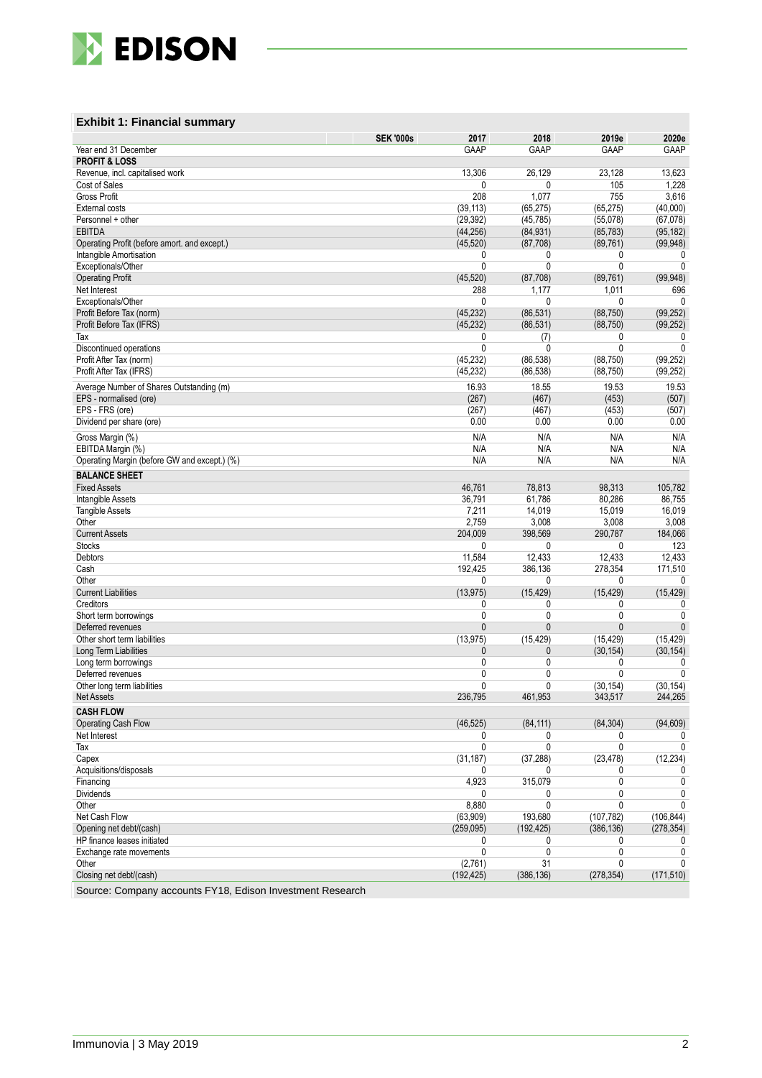

### **Exhibit 1: Financial summary**

|                                              | 2017<br><b>SEK '000s</b> | 2018         | 2019e            | 2020e        |
|----------------------------------------------|--------------------------|--------------|------------------|--------------|
| Year end 31 December                         | GAAP                     | <b>GAAP</b>  | <b>GAAP</b>      | GAAP         |
| <b>PROFIT &amp; LOSS</b>                     |                          |              |                  |              |
| Revenue, incl. capitalised work              | 13,306                   | 26,129       | 23,128           | 13,623       |
| Cost of Sales                                | 0                        | $\mathbf{0}$ | 105              | 1,228        |
| Gross Profit                                 | 208                      | 1,077        | 755              | 3,616        |
| <b>External costs</b>                        | (39, 113)                | (65, 275)    | (65, 275)        | (40,000)     |
| Personnel + other                            | (29, 392)                | (45, 785)    | (55,078)         | (67,078)     |
| <b>EBITDA</b>                                | (44, 256)                | (84, 931)    | (85, 783)        | (95, 182)    |
| Operating Profit (before amort. and except.) | (45, 520)                | (87,708)     | (89, 761)        | (99, 948)    |
| Intangible Amortisation                      | 0                        | 0            | 0                | 0            |
| Exceptionals/Other                           | 0                        | $\mathbf{0}$ | $\mathbf{0}$     | 0            |
| <b>Operating Profit</b>                      | (45, 520)                | (87,708)     | (89, 761)        | (99, 948)    |
| Net Interest                                 | 288                      | 1,177        | 1,011            | 696          |
| Exceptionals/Other                           | 0                        | 0            | 0                | 0            |
| Profit Before Tax (norm)                     | (45, 232)                | (86, 531)    | (88, 750)        | (99, 252)    |
| Profit Before Tax (IFRS)                     | (45, 232)                | (86, 531)    | (88, 750)        | (99, 252)    |
| Tax                                          | 0                        | (7)          | 0                | 0            |
| Discontinued operations                      | 0                        | $\mathbf{0}$ | 0                | 0            |
| Profit After Tax (norm)                      | (45, 232)                | (86, 538)    | (88, 750)        | (99, 252)    |
| Profit After Tax (IFRS)                      | (45, 232)                | (86, 538)    | (88, 750)        | (99, 252)    |
| Average Number of Shares Outstanding (m)     | 16.93                    | 18.55        | 19.53            | 19.53        |
| EPS - normalised (ore)                       | (267)                    | (467)        | (453)            | (507)        |
| EPS - FRS (ore)                              | (267)                    | (467)        | (453)            | (507)        |
| Dividend per share (ore)                     | 0.00                     | 0.00         | 0.00             | 0.00         |
| Gross Margin (%)                             | N/A                      | N/A          | N/A              | N/A          |
| EBITDA Margin (%)                            | N/A                      | N/A          | N/A              | N/A          |
| Operating Margin (before GW and except.) (%) | N/A                      | N/A          | N/A              | N/A          |
| <b>BALANCE SHEET</b>                         |                          |              |                  |              |
| <b>Fixed Assets</b>                          |                          | 78,813       |                  | 105,782      |
|                                              | 46,761<br>36,791         | 61,786       | 98,313<br>80,286 | 86.755       |
| Intangible Assets<br><b>Tangible Assets</b>  | 7,211                    | 14,019       | 15,019           | 16,019       |
| Other                                        | 2,759                    | 3,008        | 3,008            | 3,008        |
| <b>Current Assets</b>                        | 204,009                  | 398,569      | 290,787          | 184,066      |
| <b>Stocks</b>                                | 0                        | 0            | 0                | 123          |
| Debtors                                      | 11,584                   | 12,433       | 12,433           | 12,433       |
| Cash                                         | 192,425                  | 386,136      | 278,354          | 171,510      |
| Other                                        | 0                        | $\mathbf{0}$ | 0                | 0            |
| <b>Current Liabilities</b>                   | (13, 975)                | (15, 429)    | (15, 429)        | (15, 429)    |
| Creditors                                    | 0                        | 0            | 0                | 0            |
| Short term borrowings                        | 0                        | $\mathbf{0}$ | 0                | 0            |
| Deferred revenues                            | 0                        | $\mathbf{0}$ | $\mathbf{0}$     | $\mathbf{0}$ |
| Other short term liabilities                 | (13, 975)                | (15, 429)    | (15, 429)        | (15, 429)    |
| Long Term Liabilities                        | 0                        | $\mathbf 0$  | (30, 154)        | (30, 154)    |
| Long term borrowings                         | 0                        | $\mathbf{0}$ | 0                | 0            |
| Deferred revenues                            | 0                        | 0            | $\mathbf{0}$     | $\mathbf{0}$ |
| Other long term liabilities                  | 0                        | $\mathbf{0}$ | (30, 154)        | (30, 154)    |
| <b>Net Assets</b>                            | 236,795                  | 461.953      | 343.517          | 244,265      |
| <b>CASH FLOW</b>                             |                          |              |                  |              |
| Operating Cash Flow                          | (46, 525)                | (84, 111)    | (84, 304)        | (94, 609)    |
| Net Interest                                 | 0                        | 0            | 0                | 0            |
| Tax                                          | 0                        | $\mathbf{0}$ | 0                | 0            |
| Capex                                        | (31, 187)                | (37, 288)    | (23, 478)        | (12, 234)    |
| Acquisitions/disposals                       | 0                        | 0            | 0                | 0            |
| Financing                                    | 4,923                    | 315,079      | 0                | 0            |
| <b>Dividends</b>                             | 0                        | 0            | 0                | 0            |
| Other                                        | 8,880                    | $\mathbf{0}$ | $\mathbf{0}$     | $\mathbf{0}$ |
| Net Cash Flow                                | (63,909)                 | 193,680      | (107, 782)       | (106, 844)   |
| Opening net debt/(cash)                      | (259, 095)               | (192, 425)   | (386, 136)       | (278, 354)   |
| HP finance leases initiated                  | 0                        | 0            | 0                | 0            |
| Exchange rate movements                      | 0                        | 0            | 0                | 0            |
| Other                                        | (2,761)                  | 31           | 0                | 0            |
| Closing net debt/(cash)                      | (192, 425)               | (386, 136)   | (278, 354)       | (171, 510)   |
|                                              |                          |              |                  |              |

Source: Company accounts FY18, Edison Investment Research